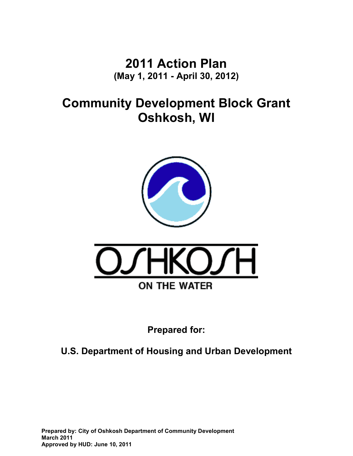**2011 Action Plan (May 1, 2011 - April 30, 2012)** 

**Community Development Block Grant Oshkosh, WI** 





**Prepared for:** 

**U.S. Department of Housing and Urban Development** 

**Prepared by: City of Oshkosh Department of Community Development March 2011 Approved by HUD: June 10, 2011**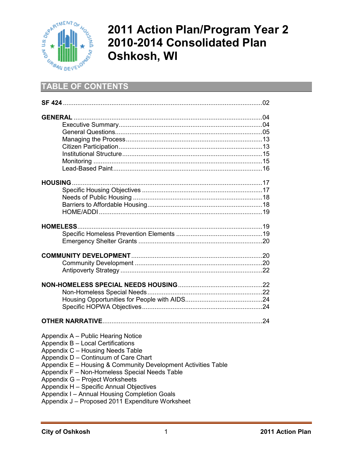

# **2011 Action Plan/Program Year 2 2010-2014 Consolidated Plan Oshkosh, WI**

# **TABLE OF CONTENTS**

| Appendix A - Public Hearing Notice                            |  |
|---------------------------------------------------------------|--|
| Appendix B - Local Certifications                             |  |
| Appendix C - Housing Needs Table                              |  |
| Appendix D - Continuum of Care Chart                          |  |
| Appendix E - Housing & Community Development Activities Table |  |
| Appendix F - Non-Homeless Special Needs Table                 |  |
| Appendix G - Project Worksheets                               |  |
| Appendix H - Specific Annual Objectives                       |  |
| Appendix I - Annual Housing Completion Goals                  |  |

Appendix J – Proposed 2011 Expenditure Worksheet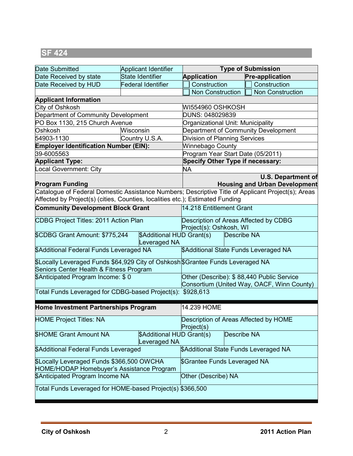| Date Submitted                                                                                     | <b>Applicant Identifier</b>               |                                                     | <b>Type of Submission</b>            |
|----------------------------------------------------------------------------------------------------|-------------------------------------------|-----------------------------------------------------|--------------------------------------|
| Date Received by state                                                                             | <b>State Identifier</b>                   | <b>Application</b>                                  | <b>Pre-application</b>               |
| Date Received by HUD                                                                               | <b>Federal Identifier</b>                 | Construction                                        | Construction                         |
|                                                                                                    |                                           | Non Construction                                    | <b>Non Construction</b>              |
| <b>Applicant Information</b>                                                                       |                                           |                                                     |                                      |
| City of Oshkosh                                                                                    |                                           | WI554960 OSHKOSH                                    |                                      |
| Department of Community Development                                                                |                                           | DUNS: 048029839                                     |                                      |
| PO Box 1130, 215 Church Avenue                                                                     |                                           | Organizational Unit: Municipality                   |                                      |
| Oshkosh                                                                                            | Wisconsin                                 | Department of Community Development                 |                                      |
| 54903-1130                                                                                         | Country U.S.A.                            | <b>Division of Planning Services</b>                |                                      |
| <b>Employer Identification Number (EIN):</b>                                                       |                                           | Winnebago County                                    |                                      |
| 39-6005563                                                                                         |                                           | Program Year Start Date (05/2011)                   |                                      |
| <b>Applicant Type:</b>                                                                             |                                           | <b>Specify Other Type if necessary:</b>             |                                      |
| Local Government: City                                                                             |                                           | <b>NA</b>                                           |                                      |
|                                                                                                    |                                           |                                                     | <b>U.S. Department of</b>            |
| <b>Program Funding</b>                                                                             |                                           |                                                     | <b>Housing and Urban Development</b> |
| Catalogue of Federal Domestic Assistance Numbers; Descriptive Title of Applicant Project(s); Areas |                                           |                                                     |                                      |
| Affected by Project(s) (cities, Counties, localities etc.); Estimated Funding                      |                                           |                                                     |                                      |
| <b>Community Development Block Grant</b>                                                           |                                           | 14.218 Entitlement Grant                            |                                      |
| CDBG Project Titles: 2011 Action Plan                                                              |                                           | Description of Areas Affected by CDBG               |                                      |
|                                                                                                    |                                           | Project(s): Oshkosh, WI                             |                                      |
| \$CDBG Grant Amount: \$775,244                                                                     | \$Additional HUD Grant(s)<br>Leveraged NA | Describe NA                                         |                                      |
| \$Additional Federal Funds Leveraged NA                                                            |                                           | \$Additional State Funds Leveraged NA               |                                      |
| \$Locally Leveraged Funds \$64,929 City of Oshkosh \$Grantee Funds Leveraged NA                    |                                           |                                                     |                                      |
| Seniors Center Health & Fitness Program                                                            |                                           |                                                     |                                      |
| \$Anticipated Program Income: \$0                                                                  |                                           | Other (Describe): \$88,440 Public Service           |                                      |
|                                                                                                    |                                           | Consortium (United Way, OACF, Winn County)          |                                      |
| Total Funds Leveraged for CDBG-based Project(s): \$928,613                                         |                                           |                                                     |                                      |
| Home Investment Partnerships Program                                                               |                                           | 14.239 HOME                                         |                                      |
| <b>HOME Project Titles: NA</b>                                                                     |                                           | Description of Areas Affected by HOME<br>Project(s) |                                      |
| <b>SHOME Grant Amount NA</b>                                                                       | \$Additional HUD Grant(s)<br>Leveraged NA | <b>Describe NA</b>                                  |                                      |
| \$Additional Federal Funds Leveraged                                                               |                                           | \$Additional State Funds Leveraged NA               |                                      |
| \$Locally Leveraged Funds \$366,500 OWCHA<br>HOME/HODAP Homebuyer's Assistance Program             |                                           | \$Grantee Funds Leveraged NA                        |                                      |
| \$Anticipated Program Income NA                                                                    |                                           | Other (Describe) NA                                 |                                      |
| Total Funds Leveraged for HOME-based Project(s) \$366,500                                          |                                           |                                                     |                                      |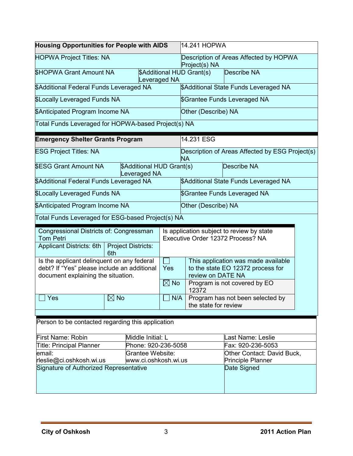| <b>Housing Opportunities for People with AIDS</b>                                                                                             |                         | 14.241 HOPWA                                                 |                                                                          |                                  |  |
|-----------------------------------------------------------------------------------------------------------------------------------------------|-------------------------|--------------------------------------------------------------|--------------------------------------------------------------------------|----------------------------------|--|
| <b>HOPWA Project Titles: NA</b>                                                                                                               |                         | Description of Areas Affected by HOPWA<br>Project(s) NA      |                                                                          |                                  |  |
| <b>SHOPWA Grant Amount NA</b>                                                                                                                 | Leveraged NA            |                                                              | \$Additional HUD Grant(s)                                                | <b>Describe NA</b>               |  |
| \$Additional Federal Funds Leveraged NA                                                                                                       |                         |                                                              | \$Additional State Funds Leveraged NA                                    |                                  |  |
| <b>\$Locally Leveraged Funds NA</b>                                                                                                           |                         | \$Grantee Funds Leveraged NA                                 |                                                                          |                                  |  |
| \$Anticipated Program Income NA                                                                                                               |                         |                                                              | Other (Describe) NA                                                      |                                  |  |
| Total Funds Leveraged for HOPWA-based Project(s) NA                                                                                           |                         |                                                              |                                                                          |                                  |  |
| <b>Emergency Shelter Grants Program</b>                                                                                                       |                         |                                                              | 14.231 ESG                                                               |                                  |  |
| <b>ESG Project Titles: NA</b>                                                                                                                 |                         | Description of Areas Affected by ESG Project(s)<br><b>NA</b> |                                                                          |                                  |  |
| <b>SESG Grant Amount NA</b><br>\$Additional HUD Grant(s)<br><b>Describe NA</b><br>Leveraged NA                                                |                         |                                                              |                                                                          |                                  |  |
| \$Additional Federal Funds Leveraged NA<br>\$Additional State Funds Leveraged NA                                                              |                         |                                                              |                                                                          |                                  |  |
| <b>\$Locally Leveraged Funds NA</b><br>\$Grantee Funds Leveraged NA                                                                           |                         |                                                              |                                                                          |                                  |  |
| <b>\$Anticipated Program Income NA</b>                                                                                                        |                         | Other (Describe) NA                                          |                                                                          |                                  |  |
| Total Funds Leveraged for ESG-based Project(s) NA                                                                                             |                         |                                                              |                                                                          |                                  |  |
| Congressional Districts of: Congressman<br>Is application subject to review by state<br>Executive Order 12372 Process? NA<br><b>Tom Petri</b> |                         |                                                              |                                                                          |                                  |  |
| Applicant Districts: 6th   Project Districts:<br>6th                                                                                          |                         |                                                              |                                                                          |                                  |  |
| Is the applicant delinquent on any federal                                                                                                    |                         | Yes                                                          | This application was made available<br>to the state EO 12372 process for |                                  |  |
| debt? If "Yes" please include an additional<br>document explaining the situation.                                                             |                         |                                                              | review on DATE NA                                                        |                                  |  |
|                                                                                                                                               |                         | $\boxtimes$ No                                               | Program is not covered by EO<br>12372                                    |                                  |  |
| $\Box$ Yes                                                                                                                                    | $ \boxtimes$ No         | $\Box$ N/A                                                   | the state for review                                                     | Program has not been selected by |  |
| Person to be contacted regarding this application                                                                                             |                         |                                                              |                                                                          |                                  |  |
|                                                                                                                                               |                         |                                                              |                                                                          |                                  |  |
| First Name: Robin                                                                                                                             | Middle Initial: L       |                                                              | Last Name: Leslie                                                        |                                  |  |
| <b>Title: Principal Planner</b>                                                                                                               |                         | Phone: 920-236-5058                                          |                                                                          | Fax: 920-236-5053                |  |
| email:                                                                                                                                        | <b>Grantee Website:</b> |                                                              | Other Contact: David Buck,                                               |                                  |  |
| rleslie@ci.oshkosh.wi.us<br>www.ci.oshkosh.wi.us                                                                                              |                         |                                                              | Principle Planner                                                        |                                  |  |
| Signature of Authorized Representative<br>Date Signed                                                                                         |                         |                                                              |                                                                          |                                  |  |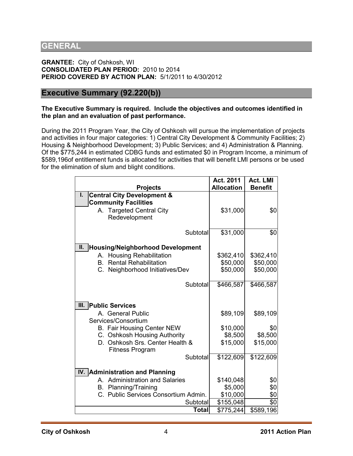## **GENERAL**

**GRANTEE:** City of Oshkosh, WI **CONSOLIDATED PLAN PERIOD:** 2010 to 2014 **PERIOD COVERED BY ACTION PLAN:** 5/1/2011 to 4/30/2012

### **Executive Summary (92.220(b))**

#### **The Executive Summary is required. Include the objectives and outcomes identified in the plan and an evaluation of past performance.**

During the 2011 Program Year, the City of Oshkosh will pursue the implementation of projects and activities in four major categories: 1) Central City Development & Community Facilities; 2) Housing & Neighborhood Development; 3) Public Services; and 4) Administration & Planning. Of the \$775,244 in estimated CDBG funds and estimated \$0 in Program Income, a minimum of \$589,196of entitlement funds is allocated for activities that will benefit LMI persons or be used for the elimination of slum and blight conditions.

| <b>Projects</b>                                                            | Act. 2011<br><b>Allocation</b> | <b>Act. LMI</b><br><b>Benefit</b> |
|----------------------------------------------------------------------------|--------------------------------|-----------------------------------|
| <b>Central City Development &amp;</b><br>I.<br><b>Community Facilities</b> |                                |                                   |
| <b>Targeted Central City</b><br>А.<br>Redevelopment                        | \$31,000                       | \$0                               |
| Subtotal                                                                   | \$31,000                       | \$0                               |
| Ш.<br><b>Housing/Neighborhood Development</b>                              |                                |                                   |
| A. Housing Rehabilitation                                                  | \$362,410                      | \$362,410                         |
| <b>B.</b> Rental Rehabilitation                                            | \$50,000                       | \$50,000                          |
| C. Neighborhood Initiatives/Dev                                            | \$50,000                       | \$50,000                          |
| Subtotal                                                                   | \$466,587                      | \$466,587                         |
| III.<br><b>Public Services</b>                                             |                                |                                   |
| A. General Public<br>Services/Consortium                                   | \$89,109                       | \$89,109                          |
| B. Fair Housing Center NEW                                                 | \$10,000                       | \$0                               |
| C. Oshkosh Housing Authority                                               | \$8,500                        | \$8,500                           |
| D. Oshkosh Srs. Center Health &<br><b>Fitness Program</b>                  | \$15,000                       | \$15,000                          |
| Subtotal                                                                   | \$122,609                      | \$122,609                         |
| IV. Administration and Planning                                            |                                |                                   |
| A. Administration and Salaries                                             | \$140,048                      | \$0                               |
| <b>B.</b> Planning/Training                                                | \$5,000                        | \$0                               |
| C. Public Services Consortium Admin.                                       | \$10,000                       | \$0                               |
| Subtotal                                                                   | \$155,048                      | \$0                               |
| <b>Total</b>                                                               | \$775,244                      | \$589,196                         |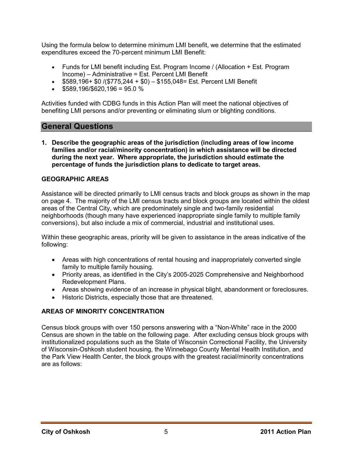Using the formula below to determine minimum LMI benefit, we determine that the estimated expenditures exceed the 70-percent minimum LMI Benefit:

- Funds for LMI benefit including Est. Program Income / (Allocation + Est. Program Income) – Administrative = Est. Percent LMI Benefit
- $$589,196+ $0$  /(\$775,244 + \$0) \$155,048 = Est. Percent LMI Benefit
- $$589,196/\$620,196 = 95.0\%$

Activities funded with CDBG funds in this Action Plan will meet the national objectives of benefiting LMI persons and/or preventing or eliminating slum or blighting conditions.

# **General Questions**

**1. Describe the geographic areas of the jurisdiction (including areas of low income families and/or racial/minority concentration) in which assistance will be directed during the next year. Where appropriate, the jurisdiction should estimate the percentage of funds the jurisdiction plans to dedicate to target areas.** 

### **GEOGRAPHIC AREAS**

Assistance will be directed primarily to LMI census tracts and block groups as shown in the map on page 4. The majority of the LMI census tracts and block groups are located within the oldest areas of the Central City, which are predominately single and two-family residential neighborhoods (though many have experienced inappropriate single family to multiple family conversions), but also include a mix of commercial, industrial and institutional uses.

Within these geographic areas, priority will be given to assistance in the areas indicative of the following:

- Areas with high concentrations of rental housing and inappropriately converted single family to multiple family housing.
- Priority areas, as identified in the City's 2005-2025 Comprehensive and Neighborhood Redevelopment Plans.
- Areas showing evidence of an increase in physical blight, abandonment or foreclosures.
- Historic Districts, especially those that are threatened.

### **AREAS OF MINORITY CONCENTRATION**

Census block groups with over 150 persons answering with a "Non-White" race in the 2000 Census are shown in the table on the following page. After excluding census block groups with institutionalized populations such as the State of Wisconsin Correctional Facility, the University of Wisconsin-Oshkosh student housing, the Winnebago County Mental Health Institution, and the Park View Health Center, the block groups with the greatest racial/minority concentrations are as follows: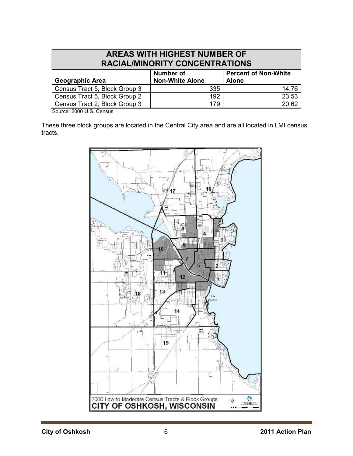# **AREAS WITH HIGHEST NUMBER OF RACIAL/MINORITY CONCENTRATIONS**

| Number of<br><b>Non-White Alone</b> | <b>Percent of Non-White</b><br><b>Alone</b> |
|-------------------------------------|---------------------------------------------|
| 335                                 | 14.76                                       |
| 192                                 | 23.53                                       |
| 179                                 | 20.62                                       |
|                                     |                                             |

Source: 2000 U.S. Census

These three block groups are located in the Central City area and are all located in LMI census tracts.

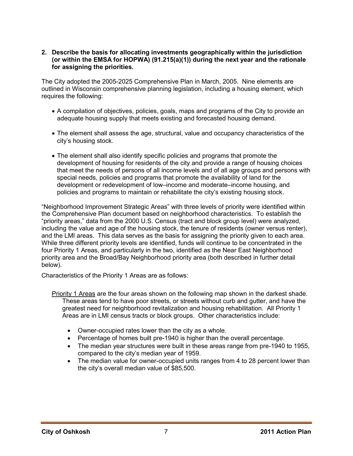#### **2. Describe the basis for allocating investments geographically within the jurisdiction (or within the EMSA for HOPWA) (91.215(a)(1)) during the next year and the rationale for assigning the priorities.**

The City adopted the 2005-2025 Comprehensive Plan in March, 2005. Nine elements are outlined in Wisconsin comprehensive planning legislation, including a housing element, which requires the following:

- A compilation of objectives, policies, goals, maps and programs of the City to provide an adequate housing supply that meets existing and forecasted housing demand.
- The element shall assess the age, structural, value and occupancy characteristics of the city's housing stock.
- The element shall also identify specific policies and programs that promote the development of housing for residents of the city and provide a range of housing choices that meet the needs of persons of all income levels and of all age groups and persons with special needs, policies and programs that promote the availability of land for the development or redevelopment of low–income and moderate–income housing, and policies and programs to maintain or rehabilitate the city's existing housing stock.

"Neighborhood Improvement Strategic Areas" with three levels of priority were identified within the Comprehensive Plan document based on neighborhood characteristics. To establish the "priority areas," data from the 2000 U.S. Census (tract and block group level) were analyzed, including the value and age of the housing stock, the tenure of residents (owner versus renter), and the LMI areas. This data serves as the basis for assigning the priority given to each area. While three different priority levels are identified, funds will continue to be concentrated in the four Priority 1 Areas, and particularly in the two, identified as the Near East Neighborhood priority area and the Broad/Bay Neighborhood priority area (both described in further detail below).

Characteristics of the Priority 1 Areas are as follows:

- Priority 1 Areas are the four areas shown on the following map shown in the darkest shade. These areas tend to have poor streets, or streets without curb and gutter, and have the greatest need for neighborhood revitalization and housing rehabilitation. All Priority 1 Areas are in LMI census tracts or block groups. Other characteristics include:
	- Owner-occupied rates lower than the city as a whole.
	- Percentage of homes built pre-1940 is higher than the overall percentage.
	- The median year structures were built in these areas range from pre-1940 to 1955, compared to the city's median year of 1959.
	- The median value for owner-occupied units ranges from 4 to 28 percent lower than the city's overall median value of \$85,500.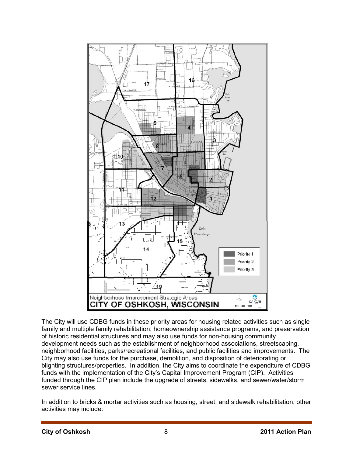

The City will use CDBG funds in these priority areas for housing related activities such as single family and multiple family rehabilitation, homeownership assistance programs, and preservation of historic residential structures and may also use funds for non-housing community development needs such as the establishment of neighborhood associations, streetscaping, neighborhood facilities, parks/recreational facilities, and public facilities and improvements. The City may also use funds for the purchase, demolition, and disposition of deteriorating or blighting structures/properties. In addition, the City aims to coordinate the expenditure of CDBG funds with the implementation of the City's Capital Improvement Program (CIP). Activities funded through the CIP plan include the upgrade of streets, sidewalks, and sewer/water/storm sewer service lines.

In addition to bricks & mortar activities such as housing, street, and sidewalk rehabilitation, other activities may include: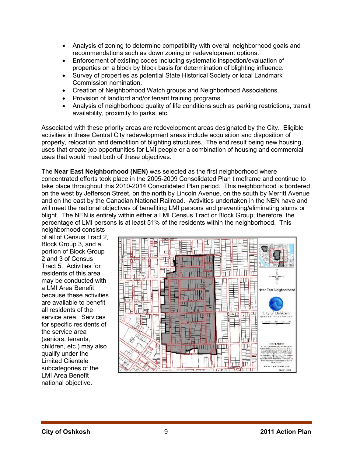- Analysis of zoning to determine compatibility with overall neighborhood goals and recommendations such as down zoning or redevelopment options.
- Enforcement of existing codes including systematic inspection/evaluation of properties on a block by block basis for determination of blighting influence.
- Survey of properties as potential State Historical Society or local Landmark Commission nomination.
- Creation of Neighborhood Watch groups and Neighborhood Associations.
- Provision of landlord and/or tenant training programs.
- Analysis of neighborhood quality of life conditions such as parking restrictions, transit availability, proximity to parks, etc.

Associated with these priority areas are redevelopment areas designated by the City. Eligible activities in these Central City redevelopment areas include acquisition and disposition of property, relocation and demolition of blighting structures. The end result being new housing, uses that create job opportunities for LMI people or a combination of housing and commercial uses that would meet both of these objectives.

The **Near East Neighborhood (NEN)** was selected as the first neighborhood where concentrated efforts took place in the 2005-2009 Consolidated Plan timeframe and continue to take place throughout this 2010-2014 Consolidated Plan period. This neighborhood is bordered on the west by Jefferson Street, on the north by Lincoln Avenue, on the south by Merritt Avenue and on the east by the Canadian National Railroad. Activities undertaken in the NEN have and will meet the national objectives of benefiting LMI persons and preventing/eliminating slums or blight. The NEN is entirely within either a LMI Census Tract or Block Group; therefore, the percentage of LMI persons is at least 51% of the residents within the neighborhood. This

neighborhood consists of all of Census Tract 2, Block Group 3, and a portion of Block Group 2 and 3 of Census Tract 5. Activities for residents of this area may be conducted with a LMI Area Benefit because these activities are available to benefit all residents of the service area. Services for specific residents of the service area (seniors, tenants, children, etc.) may also qualify under the Limited Clientele subcategories of the LMI Area Benefit national objective.

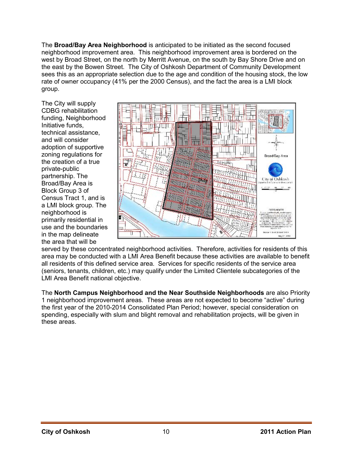The **Broad/Bay Area Neighborhood** is anticipated to be initiated as the second focused neighborhood improvement area. This neighborhood improvement area is bordered on the west by Broad Street, on the north by Merritt Avenue, on the south by Bay Shore Drive and on the east by the Bowen Street. The City of Oshkosh Department of Community Development sees this as an appropriate selection due to the age and condition of the housing stock, the low rate of owner occupancy (41% per the 2000 Census), and the fact the area is a LMI block group.

The City will supply CDBG rehabilitation funding, Neighborhood Initiative funds, technical assistance, and will consider adoption of supportive zoning regulations for the creation of a true private-public partnership. The Broad/Bay Area is Block Group 3 of Census Tract 1, and is a LMI block group. The neighborhood is primarily residential in use and the boundaries in the map delineate the area that will be



served by these concentrated neighborhood activities. Therefore, activities for residents of this area may be conducted with a LMI Area Benefit because these activities are available to benefit all residents of this defined service area. Services for specific residents of the service area (seniors, tenants, children, etc.) may qualify under the Limited Clientele subcategories of the LMI Area Benefit national objective.

The **North Campus Neighborhood and the Near Southside Neighborhoods** are also Priority 1 neighborhood improvement areas. These areas are not expected to become "active" during the first year of the 2010-2014 Consolidated Plan Period; however, special consideration on spending, especially with slum and blight removal and rehabilitation projects, will be given in these areas.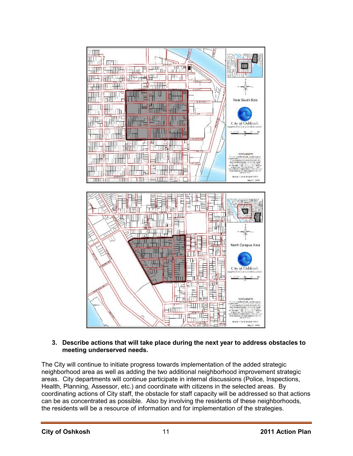

### **3. Describe actions that will take place during the next year to address obstacles to meeting underserved needs.**

The City will continue to initiate progress towards implementation of the added strategic neighborhood area as well as adding the two additional neighborhood improvement strategic areas. City departments will continue participate in internal discussions (Police, Inspections, Health, Planning, Assessor, etc.) and coordinate with citizens in the selected areas. By coordinating actions of City staff, the obstacle for staff capacity will be addressed so that actions can be as concentrated as possible. Also by involving the residents of these neighborhoods, the residents will be a resource of information and for implementation of the strategies.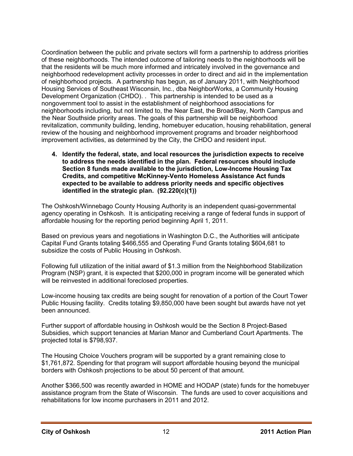Coordination between the public and private sectors will form a partnership to address priorities of these neighborhoods. The intended outcome of tailoring needs to the neighborhoods will be that the residents will be much more informed and intricately involved in the governance and neighborhood redevelopment activity processes in order to direct and aid in the implementation of neighborhood projects. A partnership has begun, as of January 2011, with Neighborhood Housing Services of Southeast Wisconsin, Inc., dba NeighborWorks, a Community Housing Development Organization (CHDO). . This partnership is intended to be used as a nongovernment tool to assist in the establishment of neighborhood associations for neighborhoods including, but not limited to, the Near East, the Broad/Bay, North Campus and the Near Southside priority areas. The goals of this partnership will be neighborhood revitalization, community building, lending, homebuyer education, housing rehabilitation, general review of the housing and neighborhood improvement programs and broader neighborhood improvement activities, as determined by the City, the CHDO and resident input.

**4. Identify the federal, state, and local resources the jurisdiction expects to receive to address the needs identified in the plan. Federal resources should include Section 8 funds made available to the jurisdiction, Low-Income Housing Tax Credits, and competitive McKinney-Vento Homeless Assistance Act funds expected to be available to address priority needs and specific objectives identified in the strategic plan. (92.220(c)(1))** 

The Oshkosh/Winnebago County Housing Authority is an independent quasi-governmental agency operating in Oshkosh. It is anticipating receiving a range of federal funds in support of affordable housing for the reporting period beginning April 1, 2011.

Based on previous years and negotiations in Washington D.C., the Authorities will anticipate Capital Fund Grants totaling \$466,555 and Operating Fund Grants totaling \$604,681 to subsidize the costs of Public Housing in Oshkosh.

Following full utilization of the initial award of \$1.3 million from the Neighborhood Stabilization Program (NSP) grant, it is expected that \$200,000 in program income will be generated which will be reinvested in additional foreclosed properties.

Low-income housing tax credits are being sought for renovation of a portion of the Court Tower Public Housing facility. Credits totaling \$9,850,000 have been sought but awards have not yet been announced.

Further support of affordable housing in Oshkosh would be the Section 8 Project-Based Subsidies, which support tenancies at Marian Manor and Cumberland Court Apartments. The projected total is \$798,937.

The Housing Choice Vouchers program will be supported by a grant remaining close to \$1,761,872. Spending for that program will support affordable housing beyond the municipal borders with Oshkosh projections to be about 50 percent of that amount.

Another \$366,500 was recently awarded in HOME and HODAP (state) funds for the homebuyer assistance program from the State of Wisconsin. The funds are used to cover acquisitions and rehabilitations for low income purchasers in 2011 and 2012.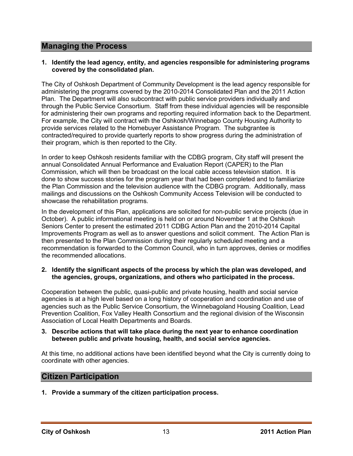### **Managing the Process**

#### **1. Identify the lead agency, entity, and agencies responsible for administering programs covered by the consolidated plan.**

The City of Oshkosh Department of Community Development is the lead agency responsible for administering the programs covered by the 2010-2014 Consolidated Plan and the 2011 Action Plan. The Department will also subcontract with public service providers individually and through the Public Service Consortium. Staff from these individual agencies will be responsible for administering their own programs and reporting required information back to the Department. For example, the City will contract with the Oshkosh/Winnebago County Housing Authority to provide services related to the Homebuyer Assistance Program. The subgrantee is contracted/required to provide quarterly reports to show progress during the administration of their program, which is then reported to the City.

In order to keep Oshkosh residents familiar with the CDBG program, City staff will present the annual Consolidated Annual Performance and Evaluation Report (CAPER) to the Plan Commission, which will then be broadcast on the local cable access television station. It is done to show success stories for the program year that had been completed and to familiarize the Plan Commission and the television audience with the CDBG program. Additionally, mass mailings and discussions on the Oshkosh Community Access Television will be conducted to showcase the rehabilitation programs.

In the development of this Plan, applications are solicited for non-public service projects (due in October). A public informational meeting is held on or around November 1 at the Oshkosh Seniors Center to present the estimated 2011 CDBG Action Plan and the 2010-2014 Capital Improvements Program as well as to answer questions and solicit comment. The Action Plan is then presented to the Plan Commission during their regularly scheduled meeting and a recommendation is forwarded to the Common Council, who in turn approves, denies or modifies the recommended allocations.

#### **2. Identify the significant aspects of the process by which the plan was developed, and the agencies, groups, organizations, and others who participated in the process.**

Cooperation between the public, quasi-public and private housing, health and social service agencies is at a high level based on a long history of cooperation and coordination and use of agencies such as the Public Service Consortium, the Winnebagoland Housing Coalition, Lead Prevention Coalition, Fox Valley Health Consortium and the regional division of the Wisconsin Association of Local Health Departments and Boards.

#### **3. Describe actions that will take place during the next year to enhance coordination between public and private housing, health, and social service agencies.**

At this time, no additional actions have been identified beyond what the City is currently doing to coordinate with other agencies.

### **Citizen Participation**

**1. Provide a summary of the citizen participation process.**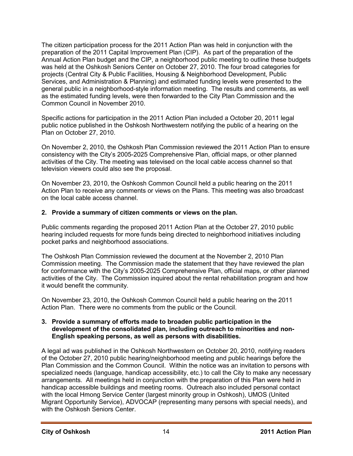The citizen participation process for the 2011 Action Plan was held in conjunction with the preparation of the 2011 Capital Improvement Plan (CIP). As part of the preparation of the Annual Action Plan budget and the CIP, a neighborhood public meeting to outline these budgets was held at the Oshkosh Seniors Center on October 27, 2010. The four broad categories for projects (Central City & Public Facilities, Housing & Neighborhood Development, Public Services, and Administration & Planning) and estimated funding levels were presented to the general public in a neighborhood-style information meeting. The results and comments, as well as the estimated funding levels, were then forwarded to the City Plan Commission and the Common Council in November 2010.

Specific actions for participation in the 2011 Action Plan included a October 20, 2011 legal public notice published in the Oshkosh Northwestern notifying the public of a hearing on the Plan on October 27, 2010.

On November 2, 2010, the Oshkosh Plan Commission reviewed the 2011 Action Plan to ensure consistency with the City's 2005-2025 Comprehensive Plan, official maps, or other planned activities of the City. The meeting was televised on the local cable access channel so that television viewers could also see the proposal.

On November 23, 2010, the Oshkosh Common Council held a public hearing on the 2011 Action Plan to receive any comments or views on the Plans. This meeting was also broadcast on the local cable access channel.

#### **2. Provide a summary of citizen comments or views on the plan.**

Public comments regarding the proposed 2011 Action Plan at the October 27, 2010 public hearing included requests for more funds being directed to neighborhood initiatives including pocket parks and neighborhood associations.

The Oshkosh Plan Commission reviewed the document at the November 2, 2010 Plan Commission meeting. The Commission made the statement that they have reviewed the plan for conformance with the City's 2005-2025 Comprehensive Plan, official maps, or other planned activities of the City. The Commission inquired about the rental rehabilitation program and how it would benefit the community.

On November 23, 2010, the Oshkosh Common Council held a public hearing on the 2011 Action Plan. There were no comments from the public or the Council.

#### **3. Provide a summary of efforts made to broaden public participation in the development of the consolidated plan, including outreach to minorities and non-English speaking persons, as well as persons with disabilities.**

A legal ad was published in the Oshkosh Northwestern on October 20, 2010, notifying readers of the October 27, 2010 public hearing/neighborhood meeting and public hearings before the Plan Commission and the Common Council. Within the notice was an invitation to persons with specialized needs (language, handicap accessibility, etc.) to call the City to make any necessary arrangements. All meetings held in conjunction with the preparation of this Plan were held in handicap accessible buildings and meeting rooms. Outreach also included personal contact with the local Hmong Service Center (largest minority group in Oshkosh), UMOS (United Migrant Opportunity Service), ADVOCAP (representing many persons with special needs), and with the Oshkosh Seniors Center.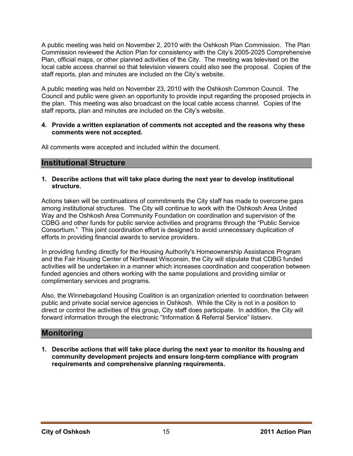A public meeting was held on November 2, 2010 with the Oshkosh Plan Commission. The Plan Commission reviewed the Action Plan for consistency with the City's 2005-2025 Comprehensive Plan, official maps, or other planned activities of the City. The meeting was televised on the local cable access channel so that television viewers could also see the proposal. Copies of the staff reports, plan and minutes are included on the City's website.

A public meeting was held on November 23, 2010 with the Oshkosh Common Council. The Council and public were given an opportunity to provide input regarding the proposed projects in the plan. This meeting was also broadcast on the local cable access channel. Copies of the staff reports, plan and minutes are included on the City's website.

#### **4. Provide a written explanation of comments not accepted and the reasons why these comments were not accepted.**

All comments were accepted and included within the document.

### **Institutional Structure**

#### **1. Describe actions that will take place during the next year to develop institutional structure.**

Actions taken will be continuations of commitments the City staff has made to overcome gaps among institutional structures. The City will continue to work with the Oshkosh Area United Way and the Oshkosh Area Community Foundation on coordination and supervision of the CDBG and other funds for public service activities and programs through the "Public Service Consortium." This joint coordination effort is designed to avoid unnecessary duplication of efforts in providing financial awards to service providers.

In providing funding directly for the Housing Authority's Homeownership Assistance Program and the Fair Housing Center of Northeast Wisconsin, the City will stipulate that CDBG funded activities will be undertaken in a manner which increases coordination and cooperation between funded agencies and others working with the same populations and providing similar or complimentary services and programs.

Also, the Winnebagoland Housing Coalition is an organization oriented to coordination between public and private social service agencies in Oshkosh. While the City is not in a position to direct or control the activities of this group, City staff does participate. In addition, the City will forward information through the electronic "Information & Referral Service" listserv.

### **Monitoring**

**1. Describe actions that will take place during the next year to monitor its housing and community development projects and ensure long-term compliance with program requirements and comprehensive planning requirements.**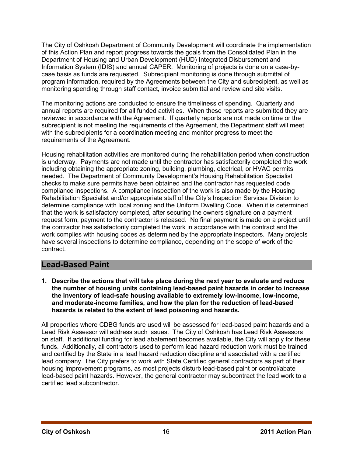The City of Oshkosh Department of Community Development will coordinate the implementation of this Action Plan and report progress towards the goals from the Consolidated Plan in the Department of Housing and Urban Development (HUD) Integrated Disbursement and Information System (IDIS) and annual CAPER. Monitoring of projects is done on a case-bycase basis as funds are requested. Subrecipient monitoring is done through submittal of program information, required by the Agreements between the City and subrecipient, as well as monitoring spending through staff contact, invoice submittal and review and site visits.

The monitoring actions are conducted to ensure the timeliness of spending. Quarterly and annual reports are required for all funded activities. When these reports are submitted they are reviewed in accordance with the Agreement. If quarterly reports are not made on time or the subrecipient is not meeting the requirements of the Agreement, the Department staff will meet with the subrecipients for a coordination meeting and monitor progress to meet the requirements of the Agreement.

Housing rehabilitation activities are monitored during the rehabilitation period when construction is underway. Payments are not made until the contractor has satisfactorily completed the work including obtaining the appropriate zoning, building, plumbing, electrical, or HVAC permits needed. The Department of Community Development's Housing Rehabilitation Specialist checks to make sure permits have been obtained and the contractor has requested code compliance inspections. A compliance inspection of the work is also made by the Housing Rehabilitation Specialist and/or appropriate staff of the City's Inspection Services Division to determine compliance with local zoning and the Uniform Dwelling Code. When it is determined that the work is satisfactory completed, after securing the owners signature on a payment request form, payment to the contractor is released. No final payment is made on a project until the contractor has satisfactorily completed the work in accordance with the contract and the work complies with housing codes as determined by the appropriate inspectors. Many projects have several inspections to determine compliance, depending on the scope of work of the contract.

# **Lead-Based Paint**

**1. Describe the actions that will take place during the next year to evaluate and reduce the number of housing units containing lead-based paint hazards in order to increase the inventory of lead-safe housing available to extremely low-income, low-income, and moderate-income families, and how the plan for the reduction of lead-based hazards is related to the extent of lead poisoning and hazards.** 

All properties where CDBG funds are used will be assessed for lead-based paint hazards and a Lead Risk Assessor will address such issues. The City of Oshkosh has Lead Risk Assessors on staff. If additional funding for lead abatement becomes available, the City will apply for these funds. Additionally, all contractors used to perform lead hazard reduction work must be trained and certified by the State in a lead hazard reduction discipline and associated with a certified lead company. The City prefers to work with State Certified general contractors as part of their housing improvement programs, as most projects disturb lead-based paint or control/abate lead-based paint hazards. However, the general contractor may subcontract the lead work to a certified lead subcontractor.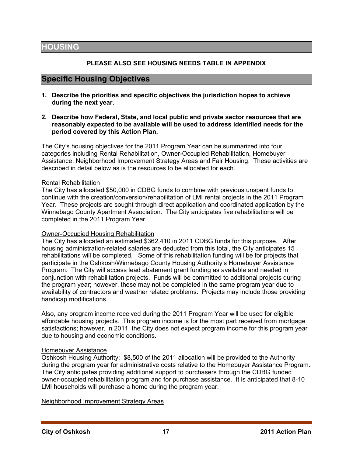# **HOUSING**

### **PLEASE ALSO SEE HOUSING NEEDS TABLE IN APPENDIX**

### **Specific Housing Objectives**

- **1. Describe the priorities and specific objectives the jurisdiction hopes to achieve during the next year.**
- **2. Describe how Federal, State, and local public and private sector resources that are reasonably expected to be available will be used to address identified needs for the period covered by this Action Plan.**

The City's housing objectives for the 2011 Program Year can be summarized into four categories including Rental Rehabilitation, Owner-Occupied Rehabilitation, Homebuyer Assistance, Neighborhood Improvement Strategy Areas and Fair Housing. These activities are described in detail below as is the resources to be allocated for each.

#### Rental Rehabilitation

The City has allocated \$50,000 in CDBG funds to combine with previous unspent funds to continue with the creation/conversion/rehabilitation of LMI rental projects in the 2011 Program Year. These projects are sought through direct application and coordinated application by the Winnebago County Apartment Association. The City anticipates five rehabilitations will be completed in the 2011 Program Year.

#### Owner-Occupied Housing Rehabilitation

The City has allocated an estimated \$362,410 in 2011 CDBG funds for this purpose. After housing administration-related salaries are deducted from this total, the City anticipates 15 rehabilitations will be completed. Some of this rehabilitation funding will be for projects that participate in the Oshkosh/Winnebago County Housing Authority's Homebuyer Assistance Program. The City will access lead abatement grant funding as available and needed in conjunction with rehabilitation projects. Funds will be committed to additional projects during the program year; however, these may not be completed in the same program year due to availability of contractors and weather related problems. Projects may include those providing handicap modifications.

Also, any program income received during the 2011 Program Year will be used for eligible affordable housing projects. This program income is for the most part received from mortgage satisfactions; however, in 2011, the City does not expect program income for this program year due to housing and economic conditions.

#### Homebuyer Assistance

Oshkosh Housing Authority: \$8,500 of the 2011 allocation will be provided to the Authority during the program year for administrative costs relative to the Homebuyer Assistance Program. The City anticipates providing additional support to purchasers through the CDBG funded owner-occupied rehabilitation program and for purchase assistance. It is anticipated that 8-10 LMI households will purchase a home during the program year.

Neighborhood Improvement Strategy Areas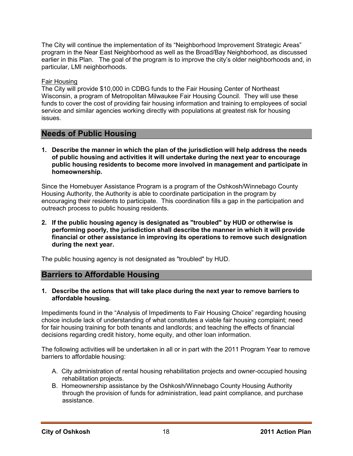The City will continue the implementation of its "Neighborhood Improvement Strategic Areas" program in the Near East Neighborhood as well as the Broad/Bay Neighborhood, as discussed earlier in this Plan. The goal of the program is to improve the city's older neighborhoods and, in particular, LMI neighborhoods.

### Fair Housing

The City will provide \$10,000 in CDBG funds to the Fair Housing Center of Northeast Wisconsin, a program of Metropolitan Milwaukee Fair Housing Council. They will use these funds to cover the cost of providing fair housing information and training to employees of social service and similar agencies working directly with populations at greatest risk for housing issues.

### **Needs of Public Housing**

**1. Describe the manner in which the plan of the jurisdiction will help address the needs of public housing and activities it will undertake during the next year to encourage public housing residents to become more involved in management and participate in homeownership.** 

Since the Homebuyer Assistance Program is a program of the Oshkosh/Winnebago County Housing Authority, the Authority is able to coordinate participation in the program by encouraging their residents to participate. This coordination fills a gap in the participation and outreach process to public housing residents.

**2. If the public housing agency is designated as "troubled" by HUD or otherwise is performing poorly, the jurisdiction shall describe the manner in which it will provide financial or other assistance in improving its operations to remove such designation during the next year.** 

The public housing agency is not designated as "troubled" by HUD.

# **Barriers to Affordable Housing**

**1. Describe the actions that will take place during the next year to remove barriers to affordable housing.** 

Impediments found in the "Analysis of Impediments to Fair Housing Choice" regarding housing choice include lack of understanding of what constitutes a viable fair housing complaint; need for fair housing training for both tenants and landlords; and teaching the effects of financial decisions regarding credit history, home equity, and other loan information.

The following activities will be undertaken in all or in part with the 2011 Program Year to remove barriers to affordable housing:

- A. City administration of rental housing rehabilitation projects and owner-occupied housing rehabilitation projects.
- B. Homeownership assistance by the Oshkosh/Winnebago County Housing Authority through the provision of funds for administration, lead paint compliance, and purchase assistance.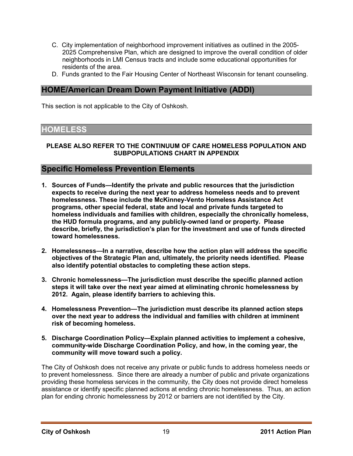- C. City implementation of neighborhood improvement initiatives as outlined in the 2005- 2025 Comprehensive Plan, which are designed to improve the overall condition of older neighborhoods in LMI Census tracts and include some educational opportunities for residents of the area.
- D. Funds granted to the Fair Housing Center of Northeast Wisconsin for tenant counseling.

# **HOME/American Dream Down Payment Initiative (ADDI)**

This section is not applicable to the City of Oshkosh.

# **HOMELESS**

### **PLEASE ALSO REFER TO THE CONTINUUM OF CARE HOMELESS POPULATION AND SUBPOPULATIONS CHART IN APPENDIX**

# **Specific Homeless Prevention Elements**

- **1. Sources of Funds—Identify the private and public resources that the jurisdiction expects to receive during the next year to address homeless needs and to prevent homelessness. These include the McKinney-Vento Homeless Assistance Act programs, other special federal, state and local and private funds targeted to homeless individuals and families with children, especially the chronically homeless, the HUD formula programs, and any publicly-owned land or property. Please describe, briefly, the jurisdiction's plan for the investment and use of funds directed toward homelessness.**
- **2. Homelessness—In a narrative, describe how the action plan will address the specific objectives of the Strategic Plan and, ultimately, the priority needs identified. Please also identify potential obstacles to completing these action steps.**
- **3. Chronic homelessness—The jurisdiction must describe the specific planned action steps it will take over the next year aimed at eliminating chronic homelessness by 2012. Again, please identify barriers to achieving this.**
- **4. Homelessness Prevention—The jurisdiction must describe its planned action steps over the next year to address the individual and families with children at imminent risk of becoming homeless.**
- **5. Discharge Coordination Policy—Explain planned activities to implement a cohesive, community-wide Discharge Coordination Policy, and how, in the coming year, the community will move toward such a policy.**

The City of Oshkosh does not receive any private or public funds to address homeless needs or to prevent homelessness. Since there are already a number of public and private organizations providing these homeless services in the community, the City does not provide direct homeless assistance or identify specific planned actions at ending chronic homelessness. Thus, an action plan for ending chronic homelessness by 2012 or barriers are not identified by the City.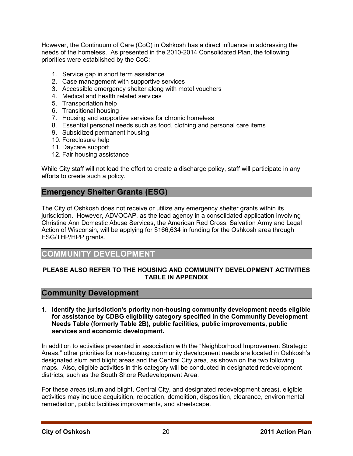However, the Continuum of Care (CoC) in Oshkosh has a direct influence in addressing the needs of the homeless. As presented in the 2010-2014 Consolidated Plan, the following priorities were established by the CoC:

- 1. Service gap in short term assistance
- 2. Case management with supportive services
- 3. Accessible emergency shelter along with motel vouchers
- 4. Medical and health related services
- 5. Transportation help
- 6. Transitional housing
- 7. Housing and supportive services for chronic homeless
- 8. Essential personal needs such as food, clothing and personal care items
- 9. Subsidized permanent housing
- 10. Foreclosure help
- 11. Daycare support
- 12. Fair housing assistance

While City staff will not lead the effort to create a discharge policy, staff will participate in any efforts to create such a policy.

# **Emergency Shelter Grants (ESG)**

The City of Oshkosh does not receive or utilize any emergency shelter grants within its jurisdiction. However, ADVOCAP, as the lead agency in a consolidated application involving Christine Ann Domestic Abuse Services, the American Red Cross, Salvation Army and Legal Action of Wisconsin, will be applying for \$166,634 in funding for the Oshkosh area through ESG/THP/HPP grants.

# **COMMUNITY DEVELOPMENT**

### **PLEASE ALSO REFER TO THE HOUSING AND COMMUNITY DEVELOPMENT ACTIVITIES TABLE IN APPENDIX**

### **Community Development**

**1. Identify the jurisdiction's priority non-housing community development needs eligible for assistance by CDBG eligibility category specified in the Community Development Needs Table (formerly Table 2B), public facilities, public improvements, public services and economic development.** 

In addition to activities presented in association with the "Neighborhood Improvement Strategic Areas," other priorities for non-housing community development needs are located in Oshkosh's designated slum and blight areas and the Central City area, as shown on the two following maps. Also, eligible activities in this category will be conducted in designated redevelopment districts, such as the South Shore Redevelopment Area.

For these areas (slum and blight, Central City, and designated redevelopment areas), eligible activities may include acquisition, relocation, demolition, disposition, clearance, environmental remediation, public facilities improvements, and streetscape.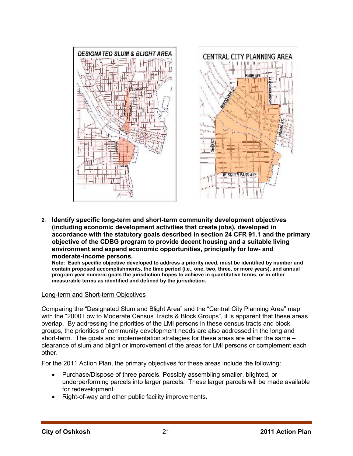

**2. Identify specific long-term and short-term community development objectives (including economic development activities that create jobs), developed in accordance with the statutory goals described in section 24 CFR 91.1 and the primary objective of the CDBG program to provide decent housing and a suitable living environment and expand economic opportunities, principally for low- and moderate-income persons.** 

**Note: Each specific objective developed to address a priority need, must be identified by number and contain proposed accomplishments, the time period (i.e., one, two, three, or more years), and annual program year numeric goals the jurisdiction hopes to achieve in quantitative terms, or in other measurable terms as identified and defined by the jurisdiction.** 

#### Long-term and Short-term Objectives

Comparing the "Designated Slum and Blight Area" and the "Central City Planning Area" map with the "2000 Low to Moderate Census Tracts & Block Groups", it is apparent that these areas overlap. By addressing the priorities of the LMI persons in these census tracts and block groups, the priorities of community development needs are also addressed in the long and short-term. The goals and implementation strategies for these areas are either the same – clearance of slum and blight or improvement of the areas for LMI persons or complement each other.

For the 2011 Action Plan, the primary objectives for these areas include the following:

- Purchase/Dispose of three parcels. Possibly assembling smaller, blighted, or underperforming parcels into larger parcels. These larger parcels will be made available for redevelopment.
- Right-of-way and other public facility improvements.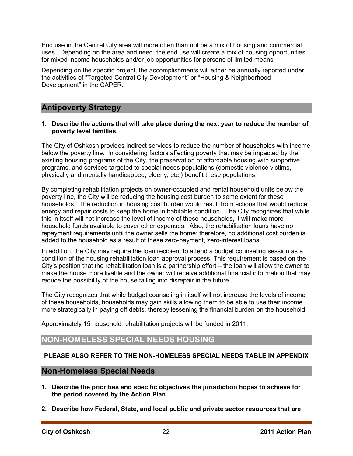End use in the Central City area will more often than not be a mix of housing and commercial uses. Depending on the area and need, the end use will create a mix of housing opportunities for mixed income households and/or job opportunities for persons of limited means.

Depending on the specific project, the accomplishments will either be annually reported under the activities of "Targeted Central City Development" or "Housing & Neighborhood Development" in the CAPER.

### **Antipoverty Strategy**

#### **1. Describe the actions that will take place during the next year to reduce the number of poverty level families.**

The City of Oshkosh provides indirect services to reduce the number of households with income below the poverty line. In considering factors affecting poverty that may be impacted by the existing housing programs of the City, the preservation of affordable housing with supportive programs, and services targeted to special needs populations (domestic violence victims, physically and mentally handicapped, elderly, etc.) benefit these populations.

By completing rehabilitation projects on owner-occupied and rental household units below the poverty line, the City will be reducing the housing cost burden to some extent for these households. The reduction in housing cost burden would result from actions that would reduce energy and repair costs to keep the home in habitable condition. The City recognizes that while this in itself will not increase the level of income of these households, it will make more household funds available to cover other expenses. Also, the rehabilitation loans have no repayment requirements until the owner sells the home; therefore, no additional cost burden is added to the household as a result of these zero-payment, zero-interest loans.

In addition, the City may require the loan recipient to attend a budget counseling session as a condition of the housing rehabilitation loan approval process. This requirement is based on the City's position that the rehabilitation loan is a partnership effort – the loan will allow the owner to make the house more livable and the owner will receive additional financial information that may reduce the possibility of the house falling into disrepair in the future.

The City recognizes that while budget counseling in itself will not increase the levels of income of these households, households may gain skills allowing them to be able to use their income more strategically in paying off debts, thereby lessening the financial burden on the household.

Approximately 15 household rehabilitation projects will be funded in 2011.

# **NON-HOMELESS SPECIAL NEEDS HOUSING**

### **PLEASE ALSO REFER TO THE NON-HOMELESS SPECIAL NEEDS TABLE IN APPENDIX**

### **Non-Homeless Special Needs**

- **1. Describe the priorities and specific objectives the jurisdiction hopes to achieve for the period covered by the Action Plan.**
- **2. Describe how Federal, State, and local public and private sector resources that are**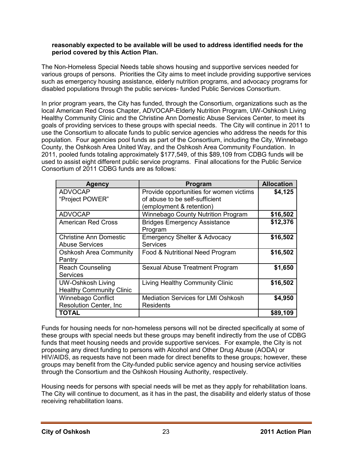#### **reasonably expected to be available will be used to address identified needs for the period covered by this Action Plan.**

The Non-Homeless Special Needs table shows housing and supportive services needed for various groups of persons. Priorities the City aims to meet include providing supportive services such as emergency housing assistance, elderly nutrition programs, and advocacy programs for disabled populations through the public services- funded Public Services Consortium.

In prior program years, the City has funded, through the Consortium, organizations such as the local American Red Cross Chapter, ADVOCAP-Elderly Nutrition Program, UW-Oshkosh Living Healthy Community Clinic and the Christine Ann Domestic Abuse Services Center, to meet its goals of providing services to these groups with special needs. The City will continue in 2011 to use the Consortium to allocate funds to public service agencies who address the needs for this population. Four agencies pool funds as part of the Consortium, including the City, Winnebago County, the Oshkosh Area United Way, and the Oshkosh Area Community Foundation. In 2011, pooled funds totaling approximately \$177,549, of this \$89,109 from CDBG funds will be used to assist eight different public service programs. Final allocations for the Public Service Consortium of 2011 CDBG funds are as follows:

| <b>Agency</b>                   | <b>Program</b>                            | <b>Allocation</b> |
|---------------------------------|-------------------------------------------|-------------------|
| <b>ADVOCAP</b>                  | Provide opportunities for women victims   | \$4,125           |
| "Project POWER"                 | of abuse to be self-sufficient            |                   |
|                                 | (employment & retention)                  |                   |
| <b>ADVOCAP</b>                  | Winnebago County Nutrition Program        | \$16,502          |
| <b>American Red Cross</b>       | <b>Bridges Emergency Assistance</b>       | \$12,376          |
|                                 | Program                                   |                   |
| <b>Christine Ann Domestic</b>   | <b>Emergency Shelter &amp; Advocacy</b>   | \$16,502          |
| <b>Abuse Services</b>           | <b>Services</b>                           |                   |
| <b>Oshkosh Area Community</b>   | Food & Nutritional Need Program           | \$16,502          |
| Pantry                          |                                           |                   |
| <b>Reach Counseling</b>         | Sexual Abuse Treatment Program            | \$1,650           |
| <b>Services</b>                 |                                           |                   |
| <b>UW-Oshkosh Living</b>        | <b>Living Healthy Community Clinic</b>    | \$16,502          |
| <b>Healthy Community Clinic</b> |                                           |                   |
| <b>Winnebago Conflict</b>       | <b>Mediation Services for LMI Oshkosh</b> | \$4,950           |
| <b>Resolution Center, Inc.</b>  | Residents                                 |                   |
| TOTAL                           |                                           | \$89,109          |

Funds for housing needs for non-homeless persons will not be directed specifically at some of these groups with special needs but these groups may benefit indirectly from the use of CDBG funds that meet housing needs and provide supportive services. For example, the City is not proposing any direct funding to persons with Alcohol and Other Drug Abuse (AODA) or HIV/AIDS, as requests have not been made for direct benefits to these groups; however, these groups may benefit from the City-funded public service agency and housing service activities through the Consortium and the Oshkosh Housing Authority, respectively.

Housing needs for persons with special needs will be met as they apply for rehabilitation loans. The City will continue to document, as it has in the past, the disability and elderly status of those receiving rehabilitation loans.